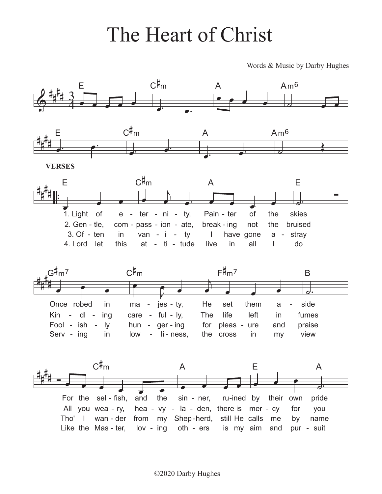## The Heart of Christ

Words & Music by Darby Hughes



©2020 Darby Hughes